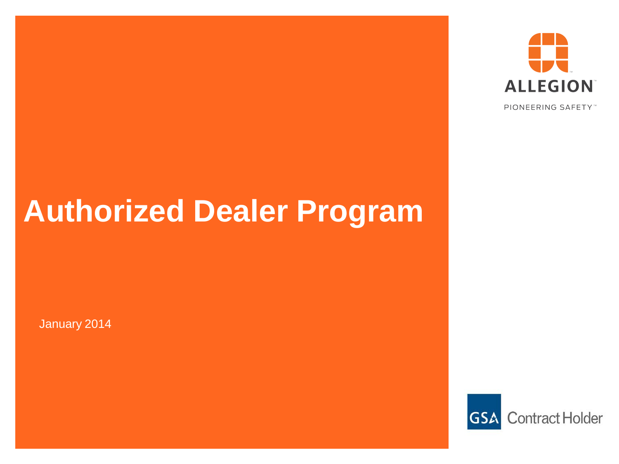

PIONEERING SAFETY™

# **Authorized Dealer Program**

January 2014

**GSA** Contract Holder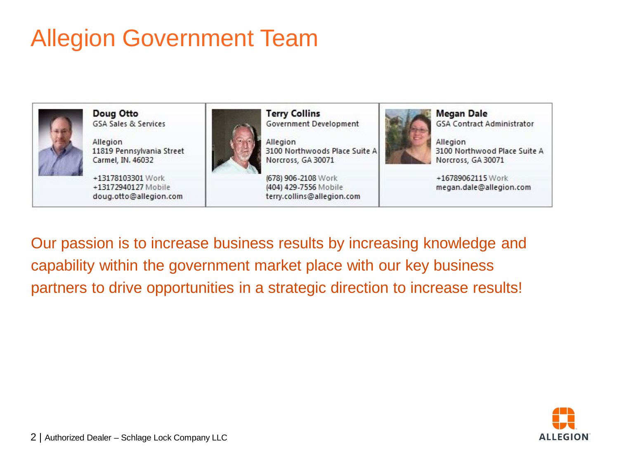## Allegion Government Team



Doug Otto **GSA Sales & Services** 

Allegion 11819 Pennsylvania Street Carmel, IN. 46032

+13178103301 Work +13172940127 Mobile doug.otto@allegion.com



**Terry Collins** Government Development

Allegion 3100 Northwoods Place Suite A Norcross, GA 30071

(678) 906-2108 Work (404) 429-7556 Mobile terry.collins@allegion.com



**Megan Dale GSA Contract Administrator** 

Allegion 3100 Northwood Place Suite A Norcross, GA 30071

+16789062115 Work megan.dale@allegion.com

Our passion is to increase business results by increasing knowledge and capability within the government market place with our key business partners to drive opportunities in a strategic direction to increase results!



2 | Authorized Dealer – Schlage Lock Company LLC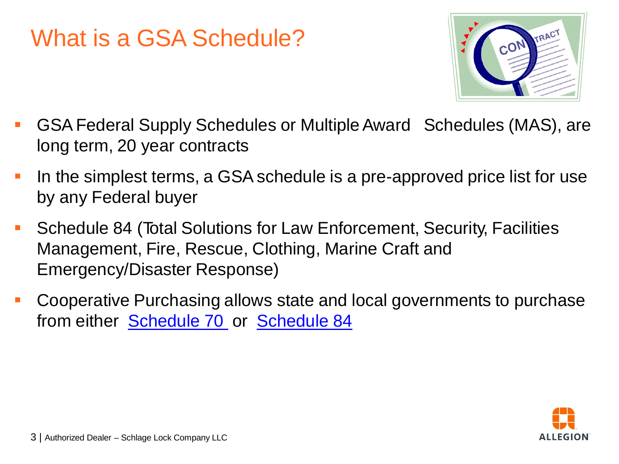#### What is a GSA Schedule?



- GSAFederal Supply Schedules or MultipleAward Schedules (MAS), are long term, 20 year contracts
- I In the simplest terms, a GSA schedule is a pre-approved price list for use by any Federal buyer
- Schedule 84 (Total Solutions for Law Enforcement, Security, Facilities Management, Fire, Rescue, Clothing, Marine Craft and Emergency/Disaster Response)
- Cooperative Purchasing allows state and local governments to purchase from either **[Schedule](http://www.gsa.gov/portal/content/141511) 70** or **Schedule 84**

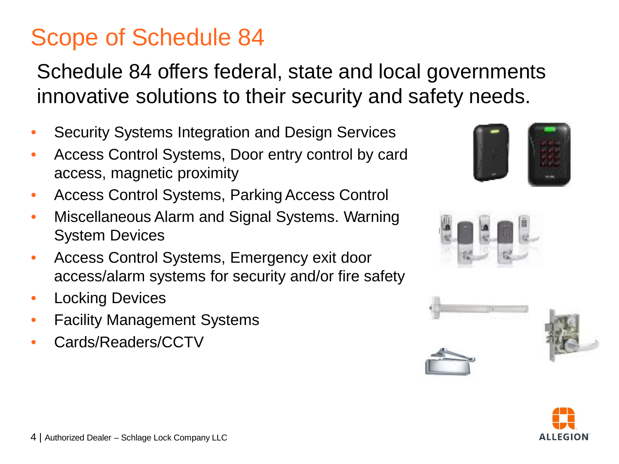#### Scope of Schedule 84

Schedule 84 offers federal, state and local governments innovative solutions to their security and safety needs.

- Security Systems Integration and Design Services
- Access Control Systems, Door entry control by card access, magnetic proximity
- Access Control Systems, Parking Access Control
- Miscellaneous Alarm and Signal Systems. Warning System Devices
- Access Control Systems, Emergency exit door access/alarm systems for security and/or fire safety
- Locking Devices
- **Facility Management Systems**
- Cards/Readers/CCTV







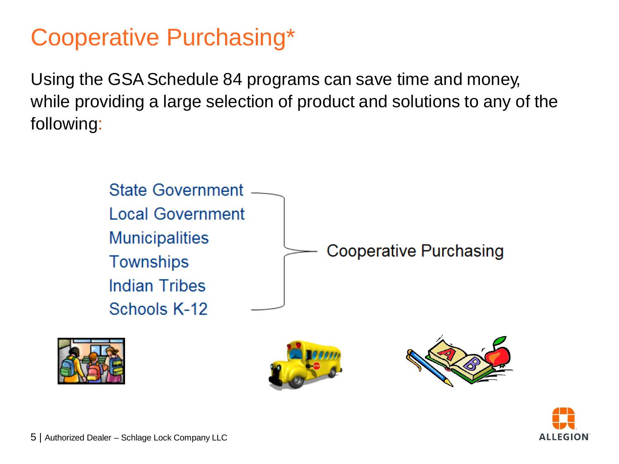#### Cooperative Purchasing\*

Using the GSA Schedule 84 programs can save time and money, while providing a large selection of product and solutions to any of the following:



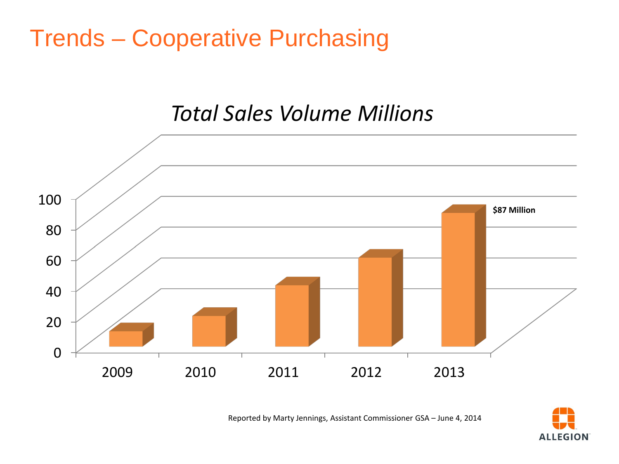#### Trends – Cooperative Purchasing

#### *Total Sales Volume Millions*



Reported by Marty Jennings, Assistant Commissioner GSA – June 4, 2014

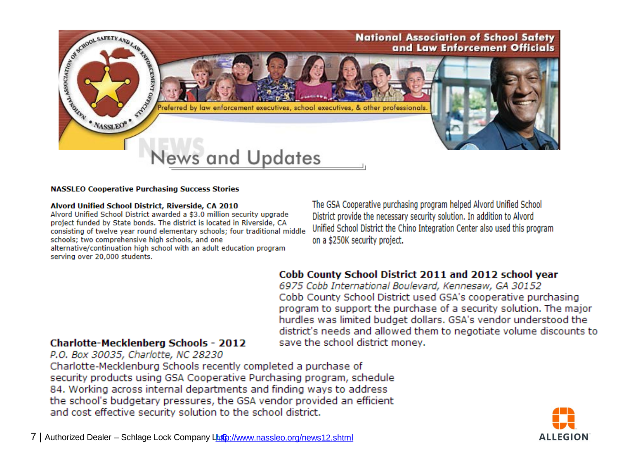

#### **NASSLEO Cooperative Purchasing Success Stories**

#### Alvord Unified School District, Riverside, CA 2010

Alvord Unified School District awarded a \$3.0 million security upgrade project funded by State bonds. The district is located in Riverside, CA consisting of twelve year round elementary schools; four traditional middle schools: two comprehensive high schools, and one alternative/continuation high school with an adult education program

serving over 20,000 students.

The GSA Cooperative purchasing program helped Alvord Unified School District provide the necessary security solution. In addition to Alvord Unified School District the Chino Integration Center also used this program on a \$250K security project.

#### Cobb County School District 2011 and 2012 school year

6975 Cobb International Boulevard, Kennesaw, GA 30152 Cobb County School District used GSA's cooperative purchasing program to support the purchase of a security solution. The major hurdles was limited budget dollars. GSA's vendor understood the district's needs and allowed them to negotiate volume discounts to save the school district money.

#### **Charlotte-Mecklenberg Schools - 2012**

P.O. Box 30035, Charlotte, NC 28230

Charlotte-Mecklenburg Schools recently completed a purchase of security products using GSA Cooperative Purchasing program, schedule 84. Working across internal departments and finding ways to address the school's budgetary pressures, the GSA vendor provided an efficient and cost effective security solution to the school district.

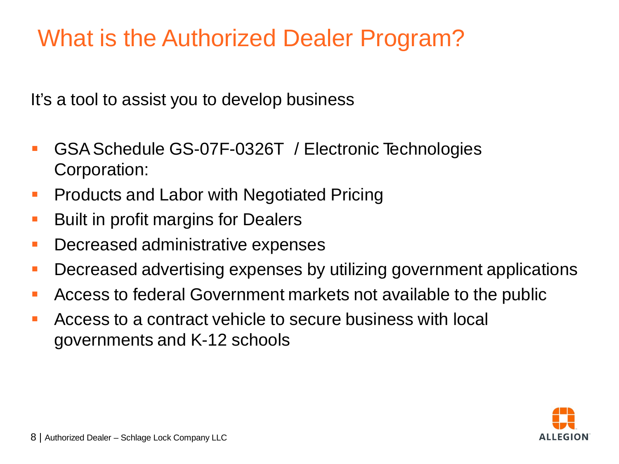## What is the Authorized Dealer Program?

It's a tool to assist you to develop business

- **GSA Schedule GS-07F-0326T / Electronic Technologies** Corporation:
- **Products and Labor with Negotiated Pricing**
- Built in profit margins for Dealers
- **Decreased administrative expenses**
- **Decreased advertising expenses by utilizing government applications**
- Access to federal Government markets not available to the public
- Access to a contract vehicle to secure business with local governments and K-12 schools

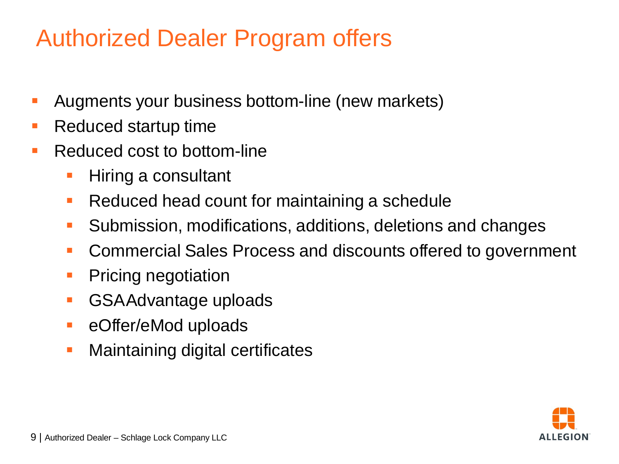#### Authorized Dealer Program offers

- Augments your business bottom-line (new markets)
- Reduced startup time
- **Reduced cost to bottom-line** 
	- Hiring a consultant
	- Reduced head count for maintaining a schedule
	- Submission, modifications, additions, deletions and changes
	- **Commercial Sales Process and discounts offered to government**
	- **Pricing negotiation**
	- **GSAAdvantage uploads**
	- **EXECUTE:** eOffer/eMod uploads
	- **Maintaining digital certificates**

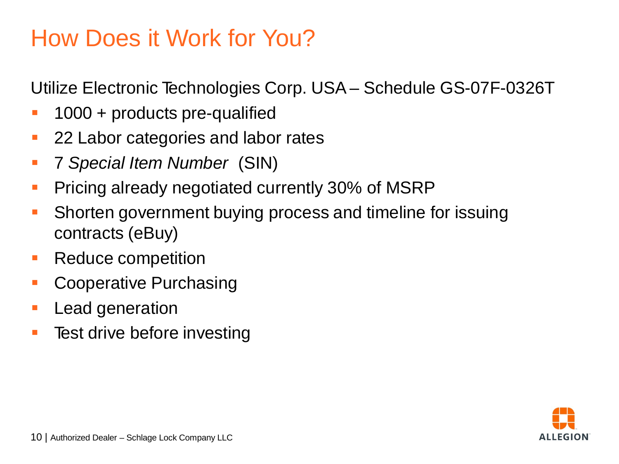#### How Does it Work for You?

Utilize Electronic Technologies Corp. USA– Schedule GS-07F-0326T

- 1000 + products pre-qualified
- 22 Labor categories and labor rates
- 7 *Special Item Number* (SIN)
- **Pricing already negotiated currently 30% of MSRP**
- **Shorten government buying process and timeline for issuing** contracts (eBuy)
- Reduce competition
- **Cooperative Purchasing**
- **Lead generation**
- **Test drive before investing**

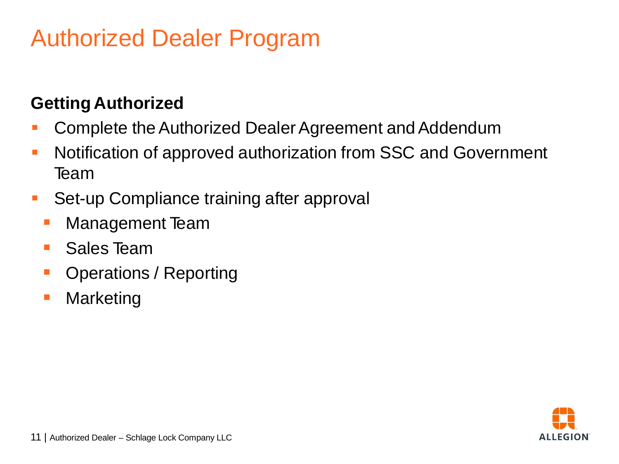#### Authorized Dealer Program

#### **Getting Authorized**

- Complete the Authorized Dealer Agreement and Addendum
- **Notification of approved authorization from SSC and Government** Team
- **Set-up Compliance training after approval** 
	- **Management Team**
	- Sales Team
	- **Operations / Reporting**
	- **Narketing**

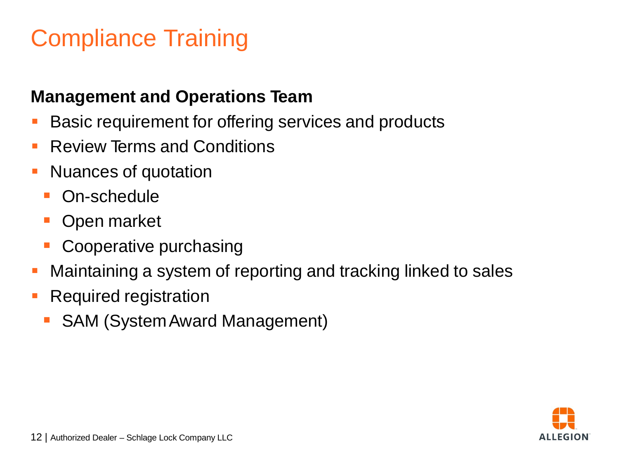## Compliance Training

#### **Management and Operations Team**

- **Basic requirement for offering services and products**
- **Review Terms and Conditions**
- **Nuances of quotation** 
	- **On-schedule**
	- **Open market**
	- **Cooperative purchasing**
- Maintaining a system of reporting and tracking linked to sales
- **Required registration** 
	- **SAM (System Award Management)**

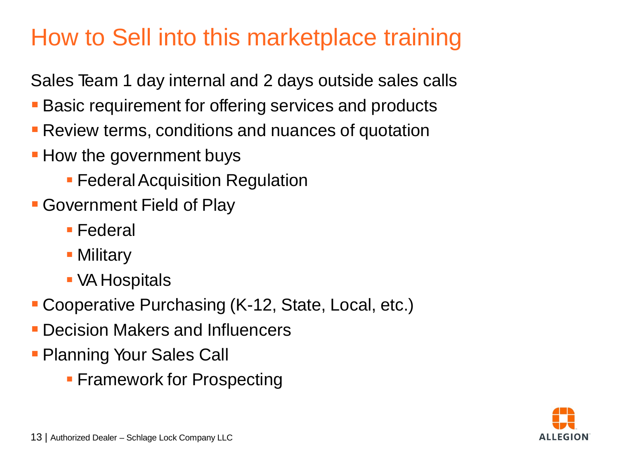### How to Sell into this marketplace training

Sales Team 1 day internal and 2 days outside sales calls

- **Basic requirement for offering services and products**
- **Review terms, conditions and nuances of quotation**
- **How the government buys** 
	- **Federal Acquisition Regulation**
- Government Field of Play
	- Federal
	- **Military**
	- VA Hospitals
- Cooperative Purchasing (K-12, State, Local, etc.)
- Decision Makers and Influencers
- **Planning Your Sales Call** 
	- **Framework for Prospecting**

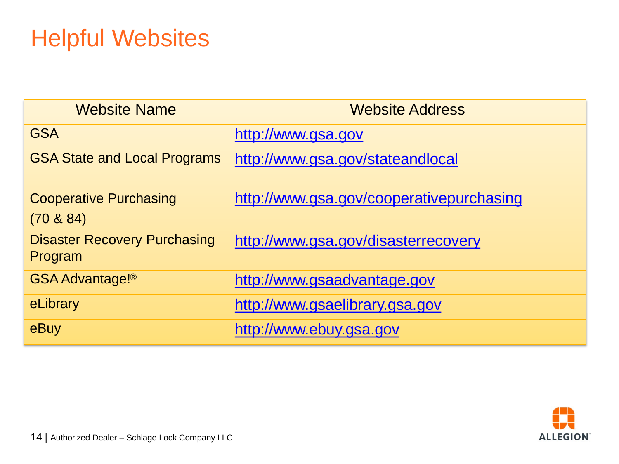## Helpful Websites

| <b>Website Name</b>                            | <b>Website Address</b>                   |
|------------------------------------------------|------------------------------------------|
| <b>GSA</b>                                     | http://www.gsa.gov                       |
| <b>GSA State and Local Programs</b>            | http://www.gsa.gov/stateandlocal         |
| <b>Cooperative Purchasing</b>                  | http://www.gsa.gov/cooperativepurchasing |
| $(70 \& 84)$                                   |                                          |
| <b>Disaster Recovery Purchasing</b><br>Program | http://www.gsa.gov/disasterrecovery      |
| <b>GSA Advantage!®</b>                         | http://www.gsaadvantage.gov              |
| eLibrary                                       | http://www.gsaelibrary.gsa.gov           |
| eBuy                                           | http://www.ebuy.gsa.gov                  |